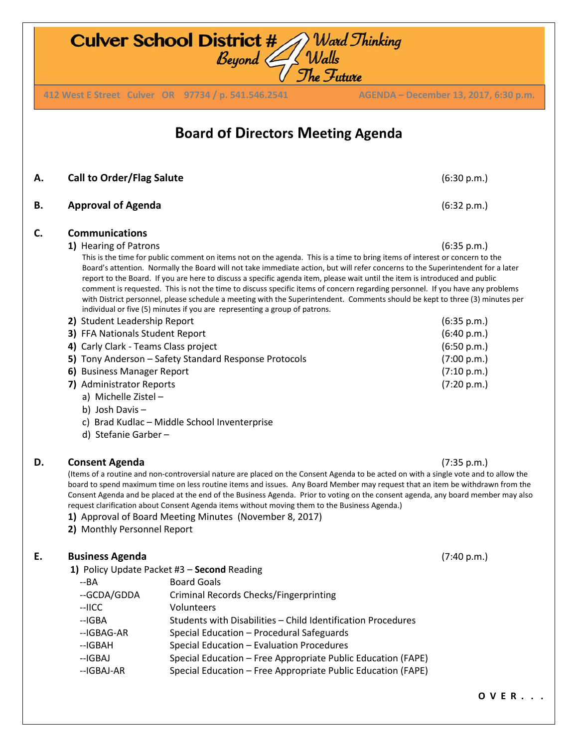**Board of Directors Meeting Agenda A. Call to Order/Flag Salute** (6:30 p.m.) **B. Approval of Agenda** (6:32 p.m.) **C. Communications 1)** Hearing of Patrons (6:35 p.m.) This is the time for public comment on items not on the agenda. This is a time to bring items of interest or concern to the Board's attention. Normally the Board will not take immediate action, but will refer concerns to the Superintendent for a later report to the Board. If you are here to discuss a specific agenda item, please wait until the item is introduced and public comment is requested. This is not the time to discuss specific items of concern regarding personnel. If you have any problems with District personnel, please schedule a meeting with the Superintendent. Comments should be kept to three (3) minutes per individual or five (5) minutes if you are representing a group of patrons. **2)** Student Leadership Report (6:35 p.m.) **3)** FFA Nationals Student Report (6:40 p.m.) **4)** Carly Clark - Teams Class project (6:50 p.m.) **5)** Tony Anderson – Safety Standard Response Protocols (7:00 p.m.) **6)** Business Manager Report (7:10 p.m.) **7)** Administrator Reports (7:20 p.m.) a) Michelle Zistel – b) Josh Davis – c) Brad Kudlac – Middle School Inventerprise d) Stefanie Garber – **D. Consent Agenda** (7:35 p.m.) (Items of a routine and non-controversial nature are placed on the Consent Agenda to be acted on with a single vote and to allow the board to spend maximum time on less routine items and issues. Any Board Member may request that an item be withdrawn from the Consent Agenda and be placed at the end of the Business Agenda. Prior to voting on the consent agenda, any board member may also request clarification about Consent Agenda items without moving them to the Business Agenda.) **1)** Approval of Board Meeting Minutes (November 8, 2017) **2)** Monthly Personnel Report **E. Business Agenda** (7:40 p.m.) **1)**Policy Update Packet #3 – **Second** Reading --BA Board Goals --GCDA/GDDA Criminal Records Checks/Fingerprinting --IICC Volunteers --IGBA Students with Disabilities – Child Identification Procedures --IGBAG-AR Special Education – Procedural Safeguards

- --IGBAH Special Education Evaluation Procedures
- --IGBAJ Special Education Free Appropriate Public Education (FAPE) --IGBAJ-AR Special Education – Free Appropriate Public Education (FAPE)

**O V E R . . .** 

## **Culver School District #** Ward Thinking<br>Beyond Walls

**412 West E Street Culver OR 97734 / p. 541.546.2541 AGENDA – August 9, 2017, 6:30 p.m. 412 West E Street Culver OR 97734 / p. 541.546.2541 AGENDA – December 13, 2017, 6:30 p.m.**

The Future